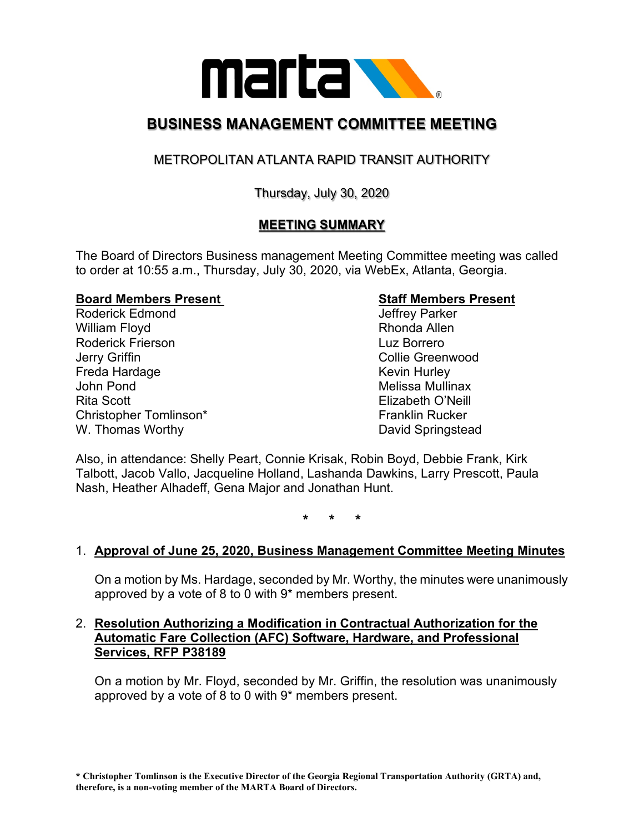

## **BUSINESS MANAGEMENT COMMITTEE MEETING**

### METROPOLITAN ATLANTA RAPID TRANSIT AUTHORITY

#### Thursday, July 30, 2020

#### **MEETING SUMMARY**

The Board of Directors Business management Meeting Committee meeting was called to order at 10:55 a.m., Thursday, July 30, 2020, via WebEx, Atlanta, Georgia.

# **Board Members Present**<br>
Roderick Edmond<br>
Roderick Edmond<br>
Staff Members Present<br>
Jeffrey Parker

Roderick Edmond Jeffrey Parker William Floyd Roderick Frierson Luz Borrero Jerry Griffin Collie Greenwood Freda Hardage **Keyin Hurley** Kevin Hurley John Pond Melissa Mullinax Rita Scott Elizabeth O'Neill Christopher Tomlinson\* Franklin Rucker W. Thomas Worthy **David Springstead** 

Also, in attendance: Shelly Peart, Connie Krisak, Robin Boyd, Debbie Frank, Kirk Talbott, Jacob Vallo, Jacqueline Holland, Lashanda Dawkins, Larry Prescott, Paula Nash, Heather Alhadeff, Gena Major and Jonathan Hunt.

**\* \* \***

#### 1. **Approval of June 25, 2020, Business Management Committee Meeting Minutes**

On a motion by Ms. Hardage, seconded by Mr. Worthy, the minutes were unanimously approved by a vote of 8 to 0 with 9\* members present.

#### 2. **Resolution Authorizing a Modification in Contractual Authorization for the Automatic Fare Collection (AFC) Software, Hardware, and Professional Services, RFP P38189**

On a motion by Mr. Floyd, seconded by Mr. Griffin, the resolution was unanimously approved by a vote of 8 to 0 with 9\* members present.